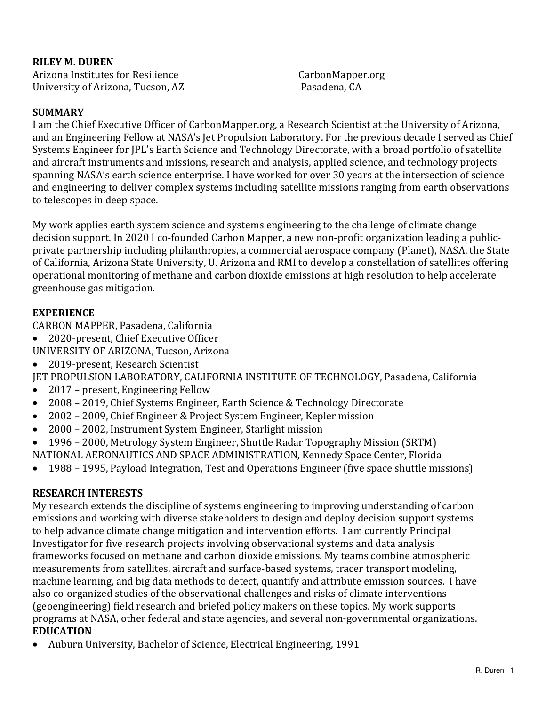**RILEY M. DUREN** Arizona Institutes for Resilience CarbonMapper.org University of Arizona, Tucson, AZ Pasadena, CA 

#### **SUMMARY**

I am the Chief Executive Officer of CarbonMapper.org, a Research Scientist at the University of Arizona, and an Engineering Fellow at NASA's Jet Propulsion Laboratory. For the previous decade I served as Chief Systems Engineer for JPL's Earth Science and Technology Directorate, with a broad portfolio of satellite and aircraft instruments and missions, research and analysis, applied science, and technology projects spanning NASA's earth science enterprise. I have worked for over 30 years at the intersection of science and engineering to deliver complex systems including satellite missions ranging from earth observations to telescopes in deep space.

My work applies earth system science and systems engineering to the challenge of climate change decision support. In 2020 I co-founded Carbon Mapper, a new non-profit organization leading a publicprivate partnership including philanthropies, a commercial aerospace company (Planet), NASA, the State of California, Arizona State University, U. Arizona and RMI to develop a constellation of satellites offering operational monitoring of methane and carbon dioxide emissions at high resolution to help accelerate greenhouse gas mitigation. 

#### **EXPERIENCE**

CARBON MAPPER, Pasadena, California

- 2020-present, Chief Executive Officer
- UNIVERSITY OF ARIZONA, Tucson, Arizona
- 2019-present, Research Scientist

JET PROPULSION LABORATORY, CALIFORNIA INSTITUTE OF TECHNOLOGY, Pasadena, California

- 2017 present, Engineering Fellow
- 2008 2019, Chief Systems Engineer, Earth Science & Technology Directorate
- 2002 2009, Chief Engineer & Project System Engineer, Kepler mission
- 2000 2002, Instrument System Engineer, Starlight mission
- 1996 2000, Metrology System Engineer, Shuttle Radar Topography Mission (SRTM)
- NATIONAL AERONAUTICS AND SPACE ADMINISTRATION, Kennedy Space Center, Florida
- 1988 1995, Payload Integration, Test and Operations Engineer (five space shuttle missions)

### **RESEARCH INTERESTS**

My research extends the discipline of systems engineering to improving understanding of carbon emissions and working with diverse stakeholders to design and deploy decision support systems to help advance climate change mitigation and intervention efforts. I am currently Principal Investigator for five research projects involving observational systems and data analysis frameworks focused on methane and carbon dioxide emissions. My teams combine atmospheric measurements from satellites, aircraft and surface-based systems, tracer transport modeling, machine learning, and big data methods to detect, quantify and attribute emission sources. I have also co-organized studies of the observational challenges and risks of climate interventions (geoengineering) field research and briefed policy makers on these topics. My work supports programs at NASA, other federal and state agencies, and several non-governmental organizations. **EDUCATION** 

• Auburn University, Bachelor of Science, Electrical Engineering, 1991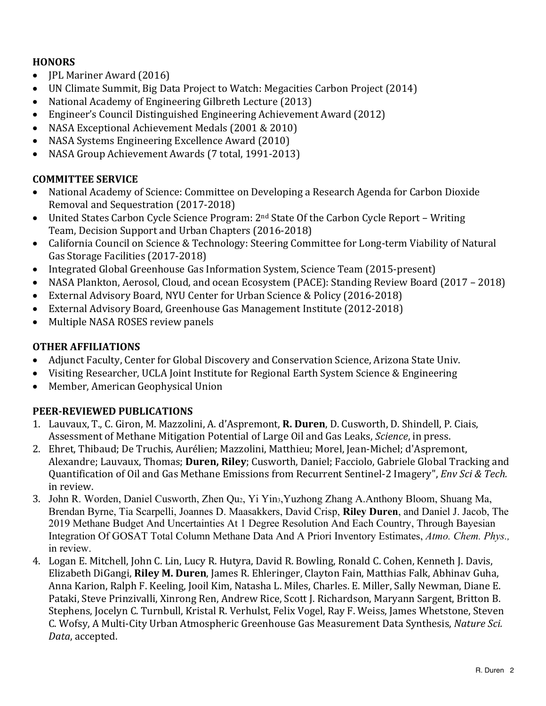### **HONORS**

- **JPL Mariner Award (2016)**
- UN Climate Summit, Big Data Project to Watch: Megacities Carbon Project (2014)
- National Academy of Engineering Gilbreth Lecture (2013)
- Engineer's Council Distinguished Engineering Achievement Award (2012)
- NASA Exceptional Achievement Medals (2001 & 2010)
- NASA Systems Engineering Excellence Award (2010)
- NASA Group Achievement Awards (7 total, 1991-2013)

## **COMMITTEE SERVICE**

- National Academy of Science: Committee on Developing a Research Agenda for Carbon Dioxide Removal and Sequestration (2017-2018)
- United States Carbon Cycle Science Program:  $2<sup>nd</sup>$  State Of the Carbon Cycle Report Writing Team, Decision Support and Urban Chapters (2016-2018)
- California Council on Science & Technology: Steering Committee for Long-term Viability of Natural Gas Storage Facilities (2017-2018)
- Integrated Global Greenhouse Gas Information System, Science Team (2015-present)
- NASA Plankton, Aerosol, Cloud, and ocean Ecosystem (PACE): Standing Review Board (2017 2018)
- External Advisory Board, NYU Center for Urban Science & Policy (2016-2018)
- External Advisory Board, Greenhouse Gas Management Institute (2012-2018)
- Multiple NASA ROSES review panels

## **OTHER AFFILIATIONS**

- Adjunct Faculty, Center for Global Discovery and Conservation Science, Arizona State Univ.
- Visiting Researcher, UCLA Joint Institute for Regional Earth System Science & Engineering
- Member, American Geophysical Union

# **PEER-REVIEWED PUBLICATIONS**

- 1. Lauvaux, T., C. Giron, M. Mazzolini, A. d'Aspremont, **R. Duren**, D. Cusworth, D. Shindell, P. Ciais, Assessment of Methane Mitigation Potential of Large Oil and Gas Leaks, *Science*, in press.
- 2. Ehret, Thibaud; De Truchis, Aurélien; Mazzolini, Matthieu; Morel, Jean-Michel; d'Aspremont, Alexandre; Lauvaux, Thomas; **Duren, Riley**; Cusworth, Daniel; Facciolo, Gabriele Global Tracking and Quantification of Oil and Gas Methane Emissions from Recurrent Sentinel-2 Imagery", *Env Sci & Tech.* in review.
- 3. John R. Worden, Daniel Cusworth, Zhen Qu2, Yi Yin3,Yuzhong Zhang A.Anthony Bloom, Shuang Ma, Brendan Byrne, Tia Scarpelli, Joannes D. Maasakkers, David Crisp, **Riley Duren**, and Daniel J. Jacob, The 2019 Methane Budget And Uncertainties At 1 Degree Resolution And Each Country, Through Bayesian Integration Of GOSAT Total Column Methane Data And A Priori Inventory Estimates, *Atmo. Chem. Phys.,*  in review.
- 4. Logan E. Mitchell, John C. Lin, Lucy R. Hutyra, David R. Bowling, Ronald C. Cohen, Kenneth J. Davis, Elizabeth DiGangi, Riley M. Duren, James R. Ehleringer, Clayton Fain, Matthias Falk, Abhinav Guha, Anna Karion, Ralph F. Keeling, Jooil Kim, Natasha L. Miles, Charles. E. Miller, Sally Newman, Diane E. Pataki, Steve Prinzivalli, Xinrong Ren, Andrew Rice, Scott J. Richardson, Maryann Sargent, Britton B. Stephens, Jocelyn C. Turnbull, Kristal R. Verhulst, Felix Vogel, Ray F. Weiss, James Whetstone, Steven C. Wofsy, A Multi-City Urban Atmospheric Greenhouse Gas Measurement Data Synthesis, *Nature Sci.* Data, accepted.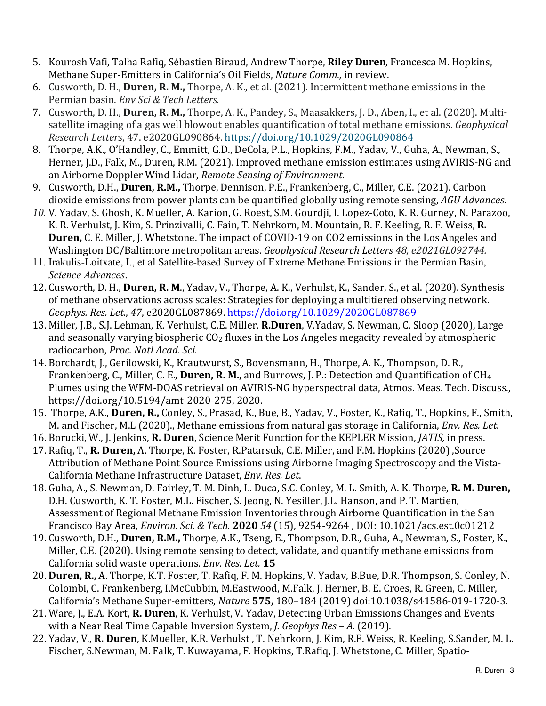- 5. Kourosh Vafi, Talha Rafiq, Sébastien Biraud, Andrew Thorpe, Riley Duren, Francesca M. Hopkins, Methane Super-Emitters in California's Oil Fields, *Nature Comm.*, in review.
- 6. Cusworth, D. H., **Duren, R. M.,** Thorpe, A. K., et al. (2021). Intermittent methane emissions in the Permian basin. *Env Sci & Tech Letters.*
- 7. Cusworth, D. H., **Duren, R. M.,** Thorpe, A. K., Pandey, S., Maasakkers, J. D., Aben, I., et al. (2020). Multisatellite imaging of a gas well blowout enables quantification of total methane emissions. *Geophysical Research Letters*, 47. e2020GL090864. https://doi.org/10.1029/2020GL090864
- 8. Thorpe, A.K., O'Handley, C., Emmitt, G.D., DeCola, P.L., Hopkins, F.M., Yadav, V., Guha, A., Newman, S., Herner, J.D., Falk, M., Duren, R.M. (2021). Improved methane emission estimates using AVIRIS-NG and an Airborne Doppler Wind Lidar, Remote Sensing of Environment.
- 9. Cusworth, D.H., **Duren, R.M.,** Thorpe, Dennison, P.E., Frankenberg, C., Miller, C.E. (2021). Carbon dioxide emissions from power plants can be quantified globally using remote sensing, *AGU Advances*.
- 10. V. Yadav, S. Ghosh, K. Mueller, A. Karion, G. Roest, S.M. Gourdji, I. Lopez-Coto, K. R. Gurney, N. Parazoo, K. R. Verhulst, J. Kim, S. Prinzivalli, C. Fain, T. Nehrkorn, M. Mountain, R. F. Keeling, R. F. Weiss, R. **Duren,** C. E. Miller, J. Whetstone. The impact of COVID-19 on CO2 emissions in the Los Angeles and Washington DC/Baltimore metropolitan areas. Geophysical Research Letters 48, e2021GL092744.
- 11. Irakulis-Loitxate, I., et al Satellite-based Survey of Extreme Methane Emissions in the Permian Basin, *Science Advances*.
- 12. Cusworth, D. H., **Duren, R. M.**, Yadav, V., Thorpe, A. K., Verhulst, K., Sander, S., et al. (2020). Synthesis of methane observations across scales: Strategies for deploying a multitiered observing network. *Geophys. Res. Let.*, *47*, e2020GL087869. https://doi.org/10.1029/2020GL087869
- 13. Miller, J.B., S.J. Lehman, K. Verhulst, C.E. Miller, R.Duren, V.Yadav, S. Newman, C. Sloop (2020), Large and seasonally varying biospheric  $CO<sub>2</sub>$  fluxes in the Los Angeles megacity revealed by atmospheric radiocarbon, *Proc. Natl Acad. Sci.*
- 14. Borchardt, J., Gerilowski, K., Krautwurst, S., Bovensmann, H., Thorpe, A. K., Thompson, D. R., Frankenberg, C., Miller, C. E., Duren, R. M., and Burrows, J. P.: Detection and Quantification of CH<sub>4</sub> Plumes using the WFM-DOAS retrieval on AVIRIS-NG hyperspectral data, Atmos. Meas. Tech. Discuss., https://doi.org/10.5194/amt-2020-275, 2020.
- 15. Thorpe, A.K., **Duren, R.,** Conley, S., Prasad, K., Bue, B., Yadav, V., Foster, K., Rafiq, T., Hopkins, F., Smith, M. and Fischer, M.L (2020)., Methane emissions from natural gas storage in California, *Env. Res. Let.*
- 16. Borucki, W., J. Jenkins, R. Duren, Science Merit Function for the KEPLER Mission, *JATIS*, in press.
- 17. Rafiq, T., **R. Duren,** A. Thorpe, K. Foster, R.Patarsuk, C.E. Miller, and F.M. Hopkins (2020), Source Attribution of Methane Point Source Emissions using Airborne Imaging Spectroscopy and the Vista-California Methane Infrastructure Dataset, *Env. Res. Let.*
- 18. Guha, A., S. Newman, D. Fairley, T. M. Dinh, L. Duca, S.C. Conley, M. L. Smith, A. K. Thorpe, **R. M. Duren,** D.H. Cusworth, K. T. Foster, M.L. Fischer, S. Jeong, N. Yesiller, J.L. Hanson, and P. T. Martien, Assessment of Regional Methane Emission Inventories through Airborne Quantification in the San Francisco Bay Area, *Environ. Sci. & Tech.* **2020** *54* (15), 9254-9264 , DOI: 10.1021/acs.est.0c01212
- 19. Cusworth, D.H., Duren, R.M., Thorpe, A.K., Tseng, E., Thompson, D.R., Guha, A., Newman, S., Foster, K., Miller, C.E. (2020). Using remote sensing to detect, validate, and quantify methane emissions from California solid waste operations. *Env. Res. Let.* **15**
- 20. **Duren, R.,** A. Thorpe, K.T. Foster, T. Rafiq, F. M. Hopkins, V. Yadav, B.Bue, D.R. Thompson, S. Conley, N. Colombi, C. Frankenberg, I.McCubbin, M.Eastwood, M.Falk, J. Herner, B. E. Croes, R. Green, C. Miller, California's Methane Super-emitters, *Nature* 575, 180-184 (2019) doi:10.1038/s41586-019-1720-3.
- 21. Ware, J., E.A. Kort, **R. Duren**, K. Verhulst, V. Yadav, Detecting Urban Emissions Changes and Events with a Near Real Time Capable Inversion System, *J. Geophys Res* - *A.* (2019).
- 22. Yaday, V., **R. Duren**, K.Mueller, K.R. Verhulst , T. Nehrkorn, J. Kim, R.F. Weiss, R. Keeling, S.Sander, M. L. Fischer, S.Newman, M. Falk, T. Kuwayama, F. Hopkins, T.Rafiq, J. Whetstone, C. Miller, Spatio-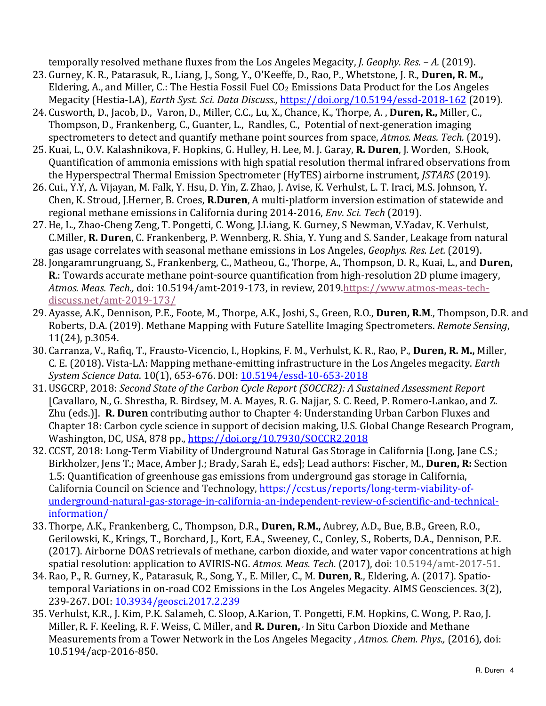temporally resolved methane fluxes from the Los Angeles Megacity, *J. Geophy. Res.* - A. (2019).

- 23. Gurney, K. R., Patarasuk, R., Liang, J., Song, Y., O'Keeffe, D., Rao, P., Whetstone, J. R., **Duren, R. M.,** Eldering, A., and Miller, C.: The Hestia Fossil Fuel  $CO<sub>2</sub>$  Emissions Data Product for the Los Angeles Megacity (Hestia-LA), *Earth Syst. Sci. Data Discuss.*, https://doi.org/10.5194/essd-2018-162 (2019).
- 24. Cusworth, D., Jacob, D., Varon, D., Miller, C.C., Lu, X., Chance, K., Thorpe, A., Duren, R., Miller, C., Thompson, D., Frankenberg, C., Guanter, L., Randles, C., Potential of next-generation imaging spectrometers to detect and quantify methane point sources from space, *Atmos. Meas. Tech.* (2019).
- 25. Kuai, L., O.V. Kalashnikova, F. Hopkins, G. Hulley, H. Lee, M. J. Garay, R. Duren, J. Worden, S.Hook, Quantification of ammonia emissions with high spatial resolution thermal infrared observations from the Hyperspectral Thermal Emission Spectrometer (HyTES) airborne instrument, *JSTARS* (2019).
- 26. Cui., Y.Y, A. Vijayan, M. Falk, Y. Hsu, D. Yin, Z. Zhao, J. Avise, K. Verhulst, L. T. Iraci, M.S. Johnson, Y. Chen, K. Stroud, J.Herner, B. Croes, R.Duren, A multi-platform inversion estimation of statewide and regional methane emissions in California during 2014-2016, *Env. Sci. Tech* (2019).
- 27. He, L., Zhao-Cheng Zeng, T. Pongetti, C. Wong, J.Liang, K. Gurney, S Newman, V.Yadav, K. Verhulst, C.Miller, **R. Duren**, C. Frankenberg, P. Wennberg, R. Shia, Y. Yung and S. Sander, Leakage from natural gas usage correlates with seasonal methane emissions in Los Angeles, *Geophys. Res. Let.* (2019).
- 28. Jongaramrungruang, S., Frankenberg, C., Matheou, G., Thorpe, A., Thompson, D. R., Kuai, L., and **Duren, R**.: Towards accurate methane point-source quantification from high-resolution 2D plume imagery, Atmos. Meas. Tech., doi: 10.5194/amt-2019-173, in review, 2019.https://www.atmos-meas-techdiscuss.net/amt-2019-173/
- 29. Ayasse, A.K., Dennison, P.E., Foote, M., Thorpe, A.K., Joshi, S., Green, R.O., Duren, R.M., Thompson, D.R. and Roberts, D.A. (2019). Methane Mapping with Future Satellite Imaging Spectrometers. *Remote Sensing*, 11(24), p.3054.
- 30. Carranza, V., Rafiq, T., Frausto-Vicencio, I., Hopkins, F. M., Verhulst, K. R., Rao, P., Duren, R. M., Miller, C. E. (2018). Vista-LA: Mapping methane-emitting infrastructure in the Los Angeles megacity. *Earth System Science Data*. 10(1), 653-676. DOI: 10.5194/essd-10-653-2018
- 31. USGCRP, 2018: *Second State of the Carbon Cycle Report (SOCCR2): A Sustained Assessment Report* [Cavallaro, N., G. Shrestha, R. Birdsey, M. A. Mayes, R. G. Najjar, S. C. Reed, P. Romero-Lankao, and Z. Zhu (eds.)]. **R. Duren** contributing author to Chapter 4: Understanding Urban Carbon Fluxes and Chapter 18: Carbon cycle science in support of decision making, U.S. Global Change Research Program, Washington, DC, USA, 878 pp., https://doi.org/10.7930/SOCCR2.2018
- 32. CCST, 2018: Long-Term Viability of Underground Natural Gas Storage in California [Long, Jane C.S.; Birkholzer, Jens T.; Mace, Amber J.; Brady, Sarah E., eds]; Lead authors: Fischer, M., Duren, R: Section 1.5: Quantification of greenhouse gas emissions from underground gas storage in California, California Council on Science and Technology, https://ccst.us/reports/long-term-viability-ofunderground-natural-gas-storage-in-california-an-independent-review-of-scientific-and-technicalinformation/
- 33. Thorpe, A.K., Frankenberg, C., Thompson, D.R., **Duren, R.M.,** Aubrey, A.D., Bue, B.B., Green, R.O., Gerilowski, K., Krings, T., Borchard, J., Kort, E.A., Sweeney, C., Conley, S., Roberts, D.A., Dennison, P.E. (2017). Airborne DOAS retrievals of methane, carbon dioxide, and water vapor concentrations at high spatial resolution: application to AVIRIS-NG. Atmos. Meas. Tech. (2017), doi: 10.5194/amt-2017-51.
- 34. Rao, P., R. Gurney, K., Patarasuk, R., Song, Y., E. Miller, C., M. Duren, R., Eldering, A. (2017). Spatiotemporal Variations in on-road CO2 Emissions in the Los Angeles Megacity. AIMS Geosciences. 3(2), 239-267. DOI: 10.3934/geosci.2017.2.239
- 35. Verhulst, K.R., J. Kim, P.K. Salameh, C. Sloop, A.Karion, T. Pongetti, F.M. Hopkins, C. Wong, P. Rao, J. Miller, R. F. Keeling, R. F. Weiss, C. Miller, and **R. Duren,** In Situ Carbon Dioxide and Methane Measurements from a Tower Network in the Los Angeles Megacity , Atmos. Chem. Phys., (2016), doi: 10.5194/acp-2016-850.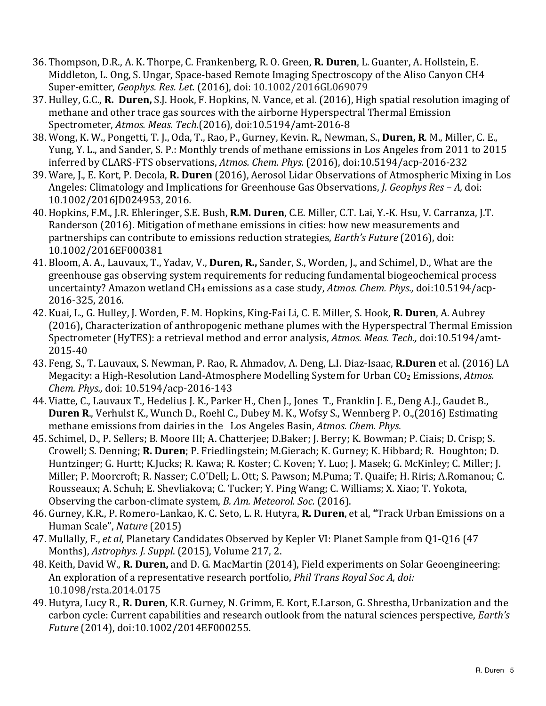- 36. Thompson, D.R., A. K. Thorpe, C. Frankenberg, R. O. Green, **R. Duren**, L. Guanter, A. Hollstein, E. Middleton, L. Ong, S. Ungar, Space-based Remote Imaging Spectroscopy of the Aliso Canyon CH4 Super-emitter, *Geophys. Res. Let.* (2016), doi: 10.1002/2016GL069079
- 37. Hulley, G.C., **R. Duren,** S.J. Hook, F. Hopkins, N. Vance, et al. (2016), High spatial resolution imaging of methane and other trace gas sources with the airborne Hyperspectral Thermal Emission Spectrometer, *Atmos. Meas. Tech.*(2016)*,* doi:10.5194/amt-2016-8
- 38. Wong, K. W., Pongetti, T. J., Oda, T., Rao, P., Gurney, Kevin. R., Newman, S., Duren, R. M., Miller, C. E., Yung, Y. L., and Sander, S. P.: Monthly trends of methane emissions in Los Angeles from 2011 to 2015 inferred by CLARS-FTS observations, Atmos. Chem. Phys. (2016), doi:10.5194/acp-2016-232
- 39. Ware, J., E. Kort, P. Decola, R. Duren (2016), Aerosol Lidar Observations of Atmospheric Mixing in Los Angeles: Climatology and Implications for Greenhouse Gas Observations, *J. Geophys Res – A, doi:* 10.1002/2016JD024953, 2016*.*
- 40. Hopkins, F.M., J.R. Ehleringer, S.E. Bush, **R.M. Duren**, C.E. Miller, C.T. Lai, Y.-K. Hsu, V. Carranza, J.T. Randerson (2016). Mitigation of methane emissions in cities: how new measurements and partnerships can contribute to emissions reduction strategies, *Earth's Future* (2016), doi: 10.1002/2016EF000381
- 41. Bloom, A. A., Lauvaux, T., Yadav, V., **Duren, R.,** Sander, S., Worden, J., and Schimel, D., What are the greenhouse gas observing system requirements for reducing fundamental biogeochemical process uncertainty? Amazon wetland CH<sub>4</sub> emissions as a case study, Atmos. Chem. Phys., doi:10.5194/acp-2016-325, 2016.
- 42. Kuai, L., G. Hulley, J. Worden, F. M. Hopkins, King-Fai Li, C. E. Miller, S. Hook, **R. Duren**, A. Aubrey (2016), Characterization of anthropogenic methane plumes with the Hyperspectral Thermal Emission Spectrometer (HyTES): a retrieval method and error analysis, Atmos. Meas. Tech., doi:10.5194/amt-2015-40
- 43. Feng, S., T. Lauvaux, S. Newman, P. Rao, R. Ahmadov, A. Deng, L.I. Diaz-Isaac, **R.Duren** et al. (2016) LA Megacity: a High-Resolution Land-Atmosphere Modelling System for Urban CO<sub>2</sub> Emissions, Atmos. *Chem. Phys.,* doi: 10.5194/acp-2016-143
- 44. Viatte, C., Lauvaux T., Hedelius J. K., Parker H., Chen J., Jones T., Franklin J. E., Deng A.J., Gaudet B., **Duren R.**, Verhulst K., Wunch D., Roehl C., Dubey M. K., Wofsy S., Wennberg P. O.,(2016) Estimating methane emissions from dairies in the Los Angeles Basin, Atmos. Chem. Phys.
- 45. Schimel, D., P. Sellers; B. Moore III; A. Chatterjee; D.Baker; J. Berry; K. Bowman; P. Ciais; D. Crisp; S. Crowell; S. Denning; **R. Duren**; P. Friedlingstein; M.Gierach; K. Gurney; K. Hibbard; R. Houghton; D. Huntzinger; G. Hurtt; K.Jucks; R. Kawa; R. Koster; C. Koven; Y. Luo; J. Masek; G. McKinley; C. Miller; J. Miller; P. Moorcroft; R. Nasser; C.O'Dell; L. Ott; S. Pawson; M.Puma; T. Quaife; H. Riris; A.Romanou; C. Rousseaux; A. Schuh; E. Shevliakova; C. Tucker; Y. Ping Wang; C. Williams; X. Xiao; T. Yokota, Observing the carbon-climate system, *B. Am. Meteorol. Soc.* (2016).
- 46. Gurney, K.R., P. Romero-Lankao, K. C. Seto, L. R. Hutyra, **R. Duren**, et al, "Track Urban Emissions on a Human Scale", *Nature* (2015)
- 47. Mullally, F., et al, Planetary Candidates Observed by Kepler VI: Planet Sample from Q1-Q16 (47 Months), *Astrophys. J. Suppl.* (2015), Volume 217, 2.
- 48. Keith, David W., **R. Duren,** and D. G. MacMartin (2014), Field experiments on Solar Geoengineering: An exploration of a representative research portfolio, *Phil Trans Royal Soc A, doi:* 10.1098/rsta.2014.0175
- 49. Hutyra, Lucy R., **R. Duren**, K.R. Gurney, N. Grimm, E. Kort, E.Larson, G. Shrestha, Urbanization and the carbon cycle: Current capabilities and research outlook from the natural sciences perspective, *Earth's Future* (2014), doi:10.1002/2014EF000255.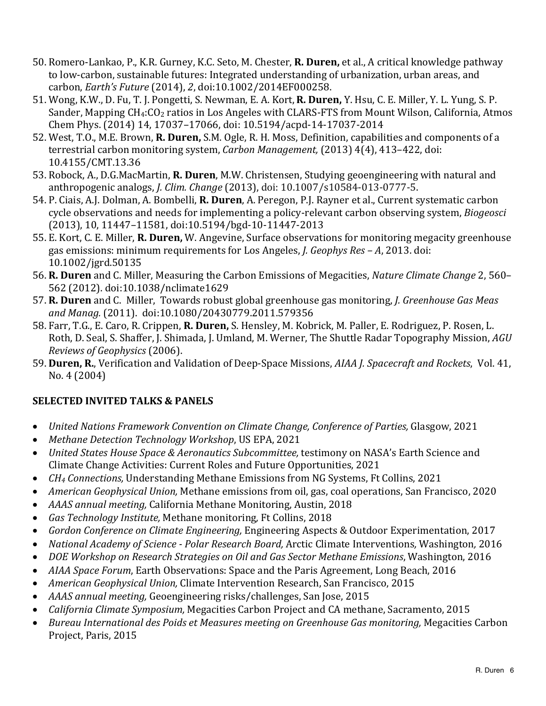- 50. Romero-Lankao, P., K.R. Gurney, K.C. Seto, M. Chester, **R. Duren,** et al., A critical knowledge pathway to low-carbon, sustainable futures: Integrated understanding of urbanization, urban areas, and carbon, *Earth's Future* (2014), 2, doi:10.1002/2014EF000258.
- 51. Wong, K.W., D. Fu, T. J. Pongetti, S. Newman, E. A. Kort, R. Duren, Y. Hsu, C. E. Miller, Y. L. Yung, S. P. Sander, Mapping CH<sub>4</sub>:CO<sub>2</sub> ratios in Los Angeles with CLARS-FTS from Mount Wilson, California, Atmos Chem Phys. (2014) 14, 17037-17066, doi: 10.5194/acpd-14-17037-2014
- 52. West, T.O., M.E. Brown, **R. Duren,** S.M. Ogle, R. H. Moss, Definition, capabilities and components of a terrestrial carbon monitoring system, *Carbon Management*, (2013) 4(4), 413-422, doi: 10.4155/CMT.13.36
- 53. Robock, A., D.G.MacMartin, **R. Duren**, M.W. Christensen, Studying geoengineering with natural and anthropogenic analogs, *J. Clim. Change* (2013), doi: 10.1007/s10584-013-0777-5.
- 54. P. Ciais, A.J. Dolman, A. Bombelli, R. Duren, A. Peregon, P.J. Rayner et al., Current systematic carbon cycle observations and needs for implementing a policy-relevant carbon observing system, *Biogeosci* (2013), 10, 11447-11581, doi:10.5194/bgd-10-11447-2013
- 55. E. Kort, C. E. Miller, **R. Duren,** W. Angevine, Surface observations for monitoring megacity greenhouse gas emissions: minimum requirements for Los Angeles, *J. Geophys Res* – A, 2013. doi: 10.1002/jgrd.50135
- 56. **R. Duren** and C. Miller, Measuring the Carbon Emissions of Megacities, *Nature Climate Change* 2, 560– 562 (2012). doi:10.1038/nclimate1629
- 57. **R. Duren** and C. Miller, Towards robust global greenhouse gas monitoring, *J. Greenhouse Gas Meas and Manag.* (2011). doi:10.1080/20430779.2011.579356
- 58. Farr, T.G., E. Caro, R. Crippen, R. Duren, S. Hensley, M. Kobrick, M. Paller, E. Rodriguez, P. Rosen, L. Roth, D. Seal, S. Shaffer, J. Shimada, J. Umland, M. Werner, The Shuttle Radar Topography Mission, *AGU Reviews of Geophysics* (2006).
- 59. **Duren, R.**, Verification and Validation of Deep-Space Missions, *AIAA J. Spacecraft and Rockets*, Vol. 41,  $No. 4(2004)$

# **SELECTED INVITED TALKS & PANELS**

- *United Nations Framework Convention on Climate Change, Conference of Parties, Glasgow, 2021*
- Methane Detection Technology Workshop, US EPA, 2021
- *United States House Space & Aeronautics Subcommittee,* testimony on NASA's Earth Science and Climate Change Activities: Current Roles and Future Opportunities, 2021
- *CH<sub>4</sub> Connections,* Understanding Methane Emissions from NG Systems, Ft Collins, 2021
- *American Geophysical Union,* Methane emissions from oil, gas, coal operations, San Francisco, 2020
- *AAAS annual meeting, California Methane Monitoring, Austin, 2018*
- *Gas Technology Institute,* Methane monitoring, Ft Collins, 2018
- *Gordon Conference on Climate Engineering,* Engineering Aspects & Outdoor Experimentation, 2017
- *National Academy of Science Polar Research Board, Arctic Climate Interventions, Washington, 2016*
- *DOE Workshop on Research Strategies on Oil and Gas Sector Methane Emissions*, Washington, 2016
- *AIAA Space Forum*, Earth Observations: Space and the Paris Agreement, Long Beach, 2016
- *American Geophysical Union,* Climate Intervention Research, San Francisco, 2015
- *AAAS annual meeting,* Geoengineering risks/challenges, San Jose, 2015
- *California Climate Symposium,* Megacities Carbon Project and CA methane, Sacramento, 2015
- *Bureau International des Poids et Measures meeting on Greenhouse Gas monitoring, Megacities Carbon* Project, Paris, 2015